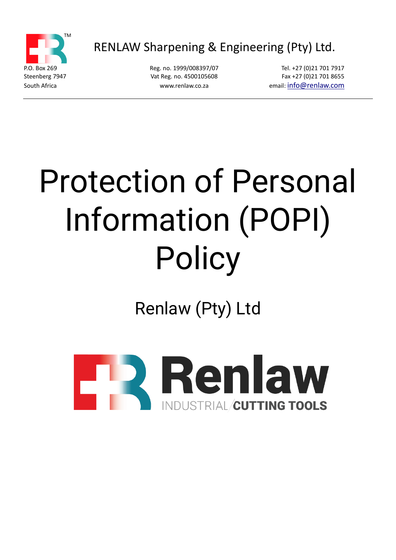

RENLAW Sharpening & Engineering (Pty) Ltd.

P.O. Box 269 **Reg. no. 1999/008397/07** Tel. +27 (0)21 701 7917 Steenberg 7947 **Vat Reg. no. 4500105608** Fax +27 (0)21 701 8655 South Africa www.renlaw.co.za email: [info@renlaw.com](mailto:info@renlaw.com)

# Protection of Personal Information (POPI) Policy

Renlaw (Pty) Ltd

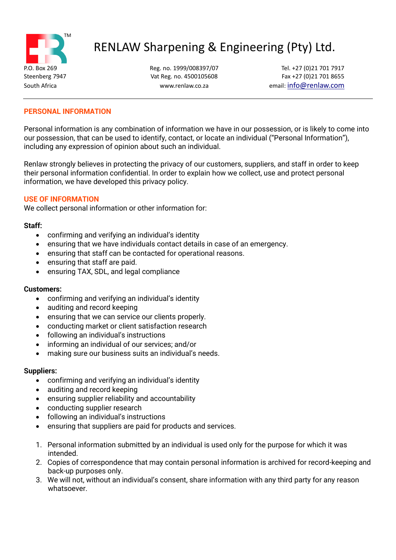

# RENLAW Sharpening & Engineering (Pty) Ltd.

P.O. Box 269 Reg. no. 1999/008397/07 Tel. +27 (0)21 701 7917 Steenberg 7947 **Vat Reg. no. 4500105608** Fax +27 (0) 21 701 8655 South Africa www.renlaw.co.za email: [info@renlaw.com](mailto:info@renlaw.com)

# **PERSONAL INFORMATION**

Personal information is any combination of information we have in our possession, or is likely to come into our possession, that can be used to identify, contact, or locate an individual ("Personal Information"), including any expression of opinion about such an individual.

Renlaw strongly believes in protecting the privacy of our customers, suppliers, and staff in order to keep their personal information confidential. In order to explain how we collect, use and protect personal information, we have developed this privacy policy.

### **USE OF INFORMATION**

We collect personal information or other information for:

### **Staff:**

- confirming and verifying an individual's identity
- ensuring that we have individuals contact details in case of an emergency.
- ensuring that staff can be contacted for operational reasons.
- ensuring that staff are paid.
- ensuring TAX, SDL, and legal compliance

### **Customers:**

- confirming and verifying an individual's identity
- auditing and record keeping
- ensuring that we can service our clients properly.
- conducting market or client satisfaction research
- following an individual's instructions
- informing an individual of our services; and/or
- making sure our business suits an individual's needs.

### **Suppliers:**

- confirming and verifying an individual's identity
- auditing and record keeping
- ensuring supplier reliability and accountability
- conducting supplier research
- following an individual's instructions
- ensuring that suppliers are paid for products and services.
- 1. Personal information submitted by an individual is used only for the purpose for which it was intended.
- 2. Copies of correspondence that may contain personal information is archived for record-keeping and back-up purposes only.
- 3. We will not, without an individual's consent, share information with any third party for any reason whatsoever.